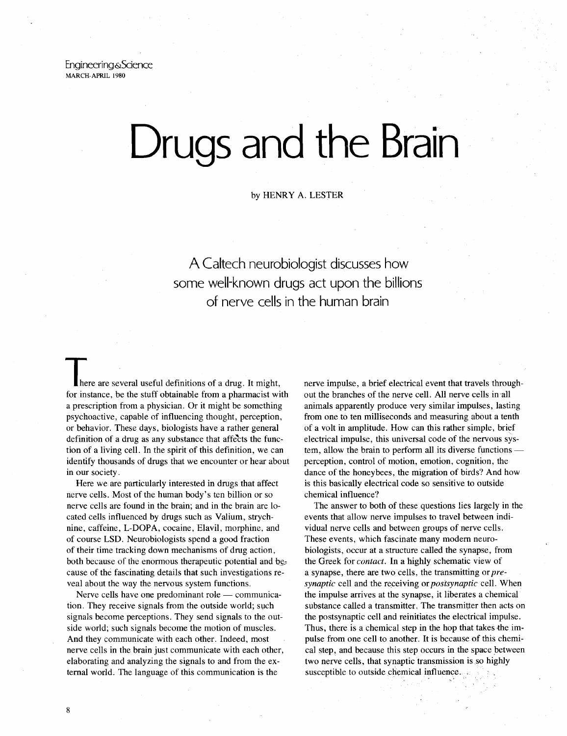Engineering& Science MARCH-APRIL 1980

# **Drugs and the Brain**

by HENRY A. LESTER

# A Caltech neurobiologist discusses how some well-known drugs act upon the billions of nerve cells in the human brain

here are several useful definitions of a drug. It might, for instance, be the stuff obtainable from a pharmacist with a prescription from a physician. Or it might be something psychoactive, capable of influencing thought, perception, or behavior. These days, biologists have a rather general definition of a drug as any substance that affects the function of a living cell. In the spirit of this definition, we can identify thousands of drugs that we encounter or hear about in our society.

Here we are particularly interested in drugs that affect nerve cells. Most of the human body's ten billion or so nerve cells are found in the brain; and in the brain are located cells influenced by drugs such as Valium, strychnine, caffeine, L-DOPA, cocaine, Elavil, morphine, and of course LSD. Neurobiologists spend a good fraction of their time tracking down mechanisms of drug action, both because of the enormous therapeutic potential and cause of the fascinating details that such investigations reveal about the way the nervous system functions.

Nerve cells have one predominant role - communication. They receive signals from the outside world; such signals become perceptions. They send signals to the outside world; such signals become the motion of muscles. And they communicate with each other. Indeed, most nerve cells in the brain just communicate with each other, elaborating and analyzing the signals to and from the external world. The language of this communication is the

nerve impulse, a brief electrical event that travels throughout the branches of the nerve cell. All nerve cells in -all animals apparently produce very similar impulses, lasting from one to ten milliseconds and measuring about a tenth of a volt in amplitude. How can this rather simple, brief electrical impulse, this universal code of the nervous system, allow the brain to perform all its diverse functions perception, control of motion, emotion, cognition, the dance of the honeybees, the migration of birds? And how is this basically electrical code so sensitive to outside chemical influence?

The answer to both of these questions lies largely in the events that allow nerve impulses to travel between individual nerve cells and between groups of nerve cells. These events, which fascinate many modem neurobiologists, occur at a structure called the synapse, from the Greek for *contact.* In a highly schematic view of a synapse, there are two cells, the transmitting or *presynaptic* cell and the receiving or *postsynaptic* cell. When the impulse arrives at the synapse, it liberates a chemical substance called a transmitter. The transmitter then acts on the postsynaptic cell and reinitiates the electrical impulse. Thus, there is a chemical step in the hop that takes the impulse from one cell to another. It is because of this chemi· cal step, and because this step occurs in the space between two nerve cells, that synaptic transmission is so highly susceptible to outside chemical influence.

8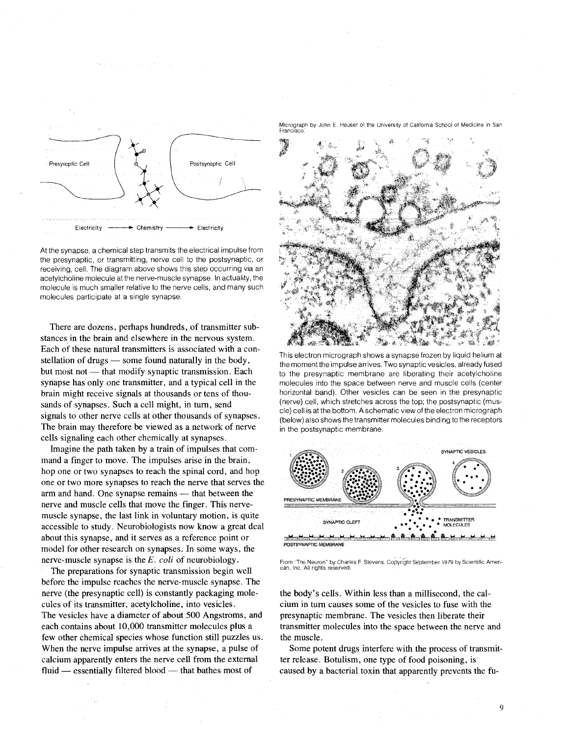

At the synapse, a chemical step transmits the electrical.impulse from the presynaptic, or transmitting, nerve cell to the postsynaptic, or receiving, cell. The diagram above shows this step occurring via an acetylcholine molecule at the nerve-muscle synapse. In actuality, the molecule is much smaller relative to the nerve cells, and many such molecules participate at a single synapse.

There are dozens, perhaps hundreds, of transmitter substances in the brain and elsewhere in the nervous system. Each of these natural transmitters is associated with a constellation of drugs  $-$  some found naturally in the body, but most not — that modify synaptic transmission. Each synapse has only one transmitter, and a typical cell in the brain might receive signals at thousands or tens of thousands of synapses. Such a cell might, in tum, send signals to other nerve cells at other thousands of synapses. The brain may therefore be viewed as a network of nerve cells signaling each other chemically at synapses.

Imagine the path taken by a train of impulses that command a finger to move. The impulses arise in the brain, hop one or two synapses to reach the spinal cord, and hop one or two more synapses to reach the nerve that serves the arm and hand. One synapse remains — that between the nerve and muscle cells that move the finger. This nervemuscle synapse, the last link in voluntary motion, is quite accessible to study. Neurobiologists now know a great deal about this synapse, and it serves as a reference point or model for other research on synapses. In some ways, the nerve-muscle synapse is the *E. coli* of neurobiology.

The preparations for synaptic transmission begin well before the impulse reaches the nerve-muscle synapse. The nerve (the presynaptic cell) is constantly packaging molecules of its transmitter, acetylcholine, into vesicles. The vesicles have a diameter of about 500 Angstroms, and each contains about 10,000 transmitter molecules plus a few other chemical species whose function still puzzles us. When the nerve impulse arrives at the synapse, a pulse of calcium apparently enters the nerve cell from the external fluid — essentially filtered blood — that bathes most of

Micrograph by John E. Heuser of the University of California School of Medicine in San<br>Francisco:



This electron micrograph shows a synapse frozen by liquid helium at the moment the impulse arrives. Two synaptic vesicles, already fused to the presynaptic membrane are liberating their acetylcholine molecules into the space between nerve and muscle cells (center horizontal band). Other vesicles can be seen in the presynaptic (nerve) cell, which stretches across the top; the postsynaptic (muscle) cell is at the bottom. A schematic view of the electron micrograph (below) also shows the transmitter molecules binding to the receptors in the postsynaptic membrane.



From "The Neuron" by Charles F. Stevens. Copyright September 1979 by Scientific American, Inc. All rights reserved

the body's cells. Within less than a millisecond, the calcium in tum causes some of the vesicles to fuse with the presynaptic membrane. The vesicles then liberate their transmitter molecules into the space between the nerve and the muscle.

Some potent drugs interfere with the process of transmitter release. Botulism, one type of food poisoning, is caused by a bacterial toxin that apparently prevents the fu-

9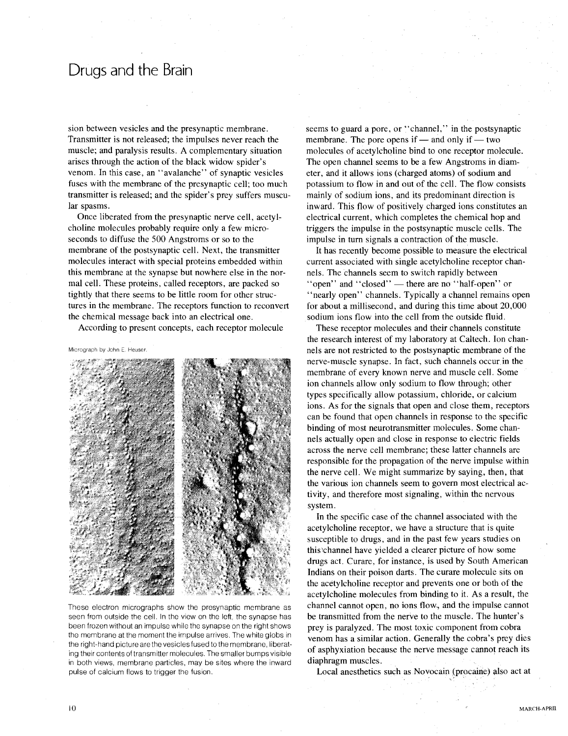#### Drugs and the Brain

sion between vesicles and the presynaptic membrane. Transmitter is not released; the impulses never reach the muscle; and paralysis results. A complementary situation arises through the action of the black widow spider's venom. In this case, an "avalanche" of synaptic vesicles fuses with the membrane of the presynaptic cell; too much transmitter is released; and the spider's prey suffers muscular spasms.

Once liberated from the presynaptic nerve cell, acetylcholine molecules probably require only a few microseconds to diffuse the 500 Angstroms or so to the membrane of the postsynaptic cell. Next, the transmitter molecules interact with special proteins embedded within this membrane at the synapse but nowhere else in the normal cell. These proteins, called receptors, are packed so tightly that there seems to be little room for other structures in the membrane. The receptors function to reconvert the chemical message back into an electrical one.

According to present concepts, each receptor molecule

Micrograph by John E Heuser.



These electron micrographs show the presynaptic membrane as seen from outside the cell. In the view on the left, the synapse has been frozen without an impulse while the synapse on the right shows the membrane at the moment the impulse arrives. The white globs in the right-hand picture are the vesicles fused to the membrane, liberating their contents of transmitter molecules. The smaller bumps visible in both views, membrane particles, may be sites where the inward pulse of calcium flows to trigger the fusion.

seems to guard a pore, or "channel," in the postsynaptic membrane. The pore opens if  $-$  and only if  $-$  two molecules of acetylcholine bind to one receptor molecule. The open channel seems to be a few Angstroms in diameter, and it allows ions (charged atoms) of sodium and potassium to flow in and out of the cell. The flow consists mainly of sodium ions, and its predominant direction is inward. This flow of positively charged ions constitutes an electrical current, which completes the chemical hop and triggers the impulse in the postsynaptic muscle cells. The impulse in turn signals a contraction of the muscle.

It has recently become possible to measure the electrical current associated with single acetylcholine receptor channels. The Channels seem to switch rapidly between "open" and "closed" - there are no "half-open" or "nearly open" channels. Typically a channel remains open for about a millisecond, and during this time about 20,000 sodium ions flow into the cell from the outside fluid.

These receptor molecules and their channels constitute the research interest of my laboratory at Caltech. Ion channels are not restricted to the postsynaptic membrane of the nerve-muscle synapse. In fact, such channels occur in the membrane of every known nerve and muscle cell. Some ion channels allow only sodium to flow through; other types specifically allow potassium, chloride, or calcium ions. As for the signals that open and close them, receptors can be found that open channels in response to the specific binding of most neurotransmitter molecules. Some channels actually open and close in response to electric fields across the nerve cell membrane; these latter channels are responsible for the propagation of the nerve impulse within the nerve cell. We might summarize by saying, then, that the various ion channels seem to govern most electrical activity, and therefore most signaling, within the nervous system.

In the specific case of the channel associated with the acetylcholine receptor, we have a structure that is quite susceptible to drugs, and in the past few years studies on this'channel have yielded a clearer picture of how some drugs act. Curare, for instance, is used by South American Indians on their poison darts. The curare molecule sits on the acetylcholine receptor and prevents one or both of the acetylcholine molecules from binding to it. As a result, the channel cannot open, no ions flow, and the impulse cannot be transmitted from the nerve to the muscle. The hunter's prey is paralyzed. The most toxic component from cobra venom has a similar action. Generally the cobra's prey dies of asphyxiation because the nerve message cannot reach its diaphragm muscles.

Local anesthetics such as Novocain (procaine) also act at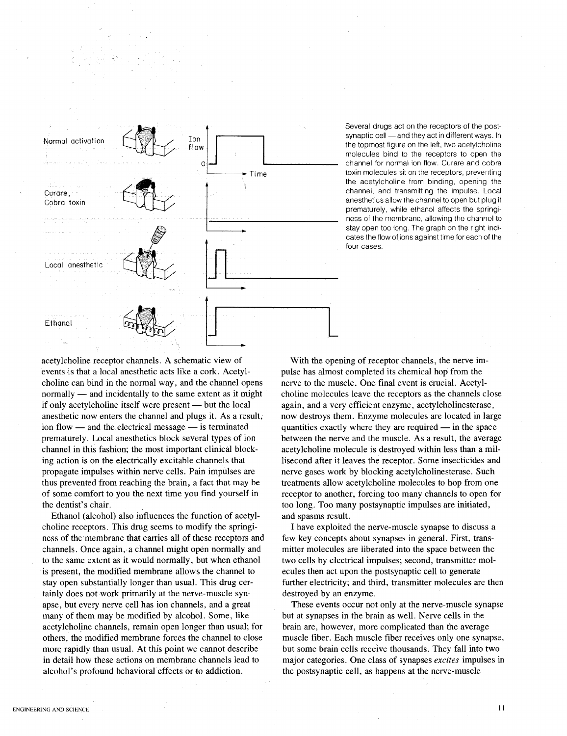

Several drugs act on the receptors of the postsynaptic cell - and they act in different ways. In the topmost figure on the left, two acetylcholine molecules bind to the receptors to open the channel for normal ion flow. Curare and cobra toxin molecules sit on the receptors, preventing the acetylcholine from binding, opening the channel, and transmitting the impulse. Local anesthetics allow the channel to open but plug it prematurely, while ethanol affects the springiness of the membrane, allowing the channel to stay open too long. The graph on the right indicates the flow of ions against time for each of the four cases.

acetylcholine receptor channels. A schematic view of events is that a local anesthetic acts like a cork. Acetylcholine can bind in the normal way, and the channel opens normally - and incidentally to the same extent as it might if only acetylcholine itself were present — but the local anesthetic now enters the channel and plugs it. As a result, ion flow  $-$  and the electrical message  $-$  is terminated prematurely. Local anesthetics block several types of ion channel in this fashion; the most important clinical blocking action is on the electrically excitable channels that propagate impulses within nerve cells. Pain impulses are thus prevented from reaching the brain, a fact that may be of some comfort to you the next time you find yourself in the dentist's chair.

Ethanol (alcohol) also influences the function of acetylcholine receptors. This drug seems to modify the springiness of the membrane that carries all of these receptors and channels. Once again, a channel might open normally and to the same extent as it would normally, but when ethanol is present, the modified membrane allows the channel to stay open substantially longer than usual. This drug certainly does not work primarily at the nerve-muscle synapse, but every nerve cell has ion channels, and a great many of them may be modified by alcohol. Some, like acetylcholine channels, remain open longer than usual; for others, the modified membrane forces the channel to close more rapidly than usual. At this point we cannot describe in detail how these actions on membrane channels lead to alcohol's profound behavioral effects or to addiction.

With the opening of receptor channels, the nerve impulse has almost completed its chemical hop from the nerve to the muscle. One final event is crucial. Acetylcholine molecules leave the receptors as the channels close again, and a very efficient enzyme, acetylcholinesterase, now destroys them. Enzyme molecules are located in large quantities exactly where they are required  $\frac{1}{\sqrt{2}}$  in the space between the nerve and the muscle. As a result, the average acetylcholine molecule is destroyed within less than a millisecond after it leaves the receptor. Some insecticides and nerve gases work by blocking acetylcholinesterase. Such treatments allow acetylcholine molecules to hop from one receptor to another, forcing too many channels to open for too long. Too many postsynaptic impulses are initiated, and spasms result.

I have exploited the nerve-muscle synapse to discuss a few key concepts about synapses in general. First, transmitter molecules are liberated into the space between the two cells by electrical impulses; second, transmitter molecules then act upon the postsynaptic cell to generate further electricity; and third, transmitter molecules are then destroyed by an enzyme.

These events occur not only at the nerve-muscle synapse but at synapses in the brain as well. Nerve cells in the brain are, however, more complicated than the average muscle fiber. Each muscle fiber receives only one synapse, but some brain cells receive thousands. They fall into two major categories. One class of synapses *excites* impulses in the postsynaptic cell, as happens at the nerve-muscle

II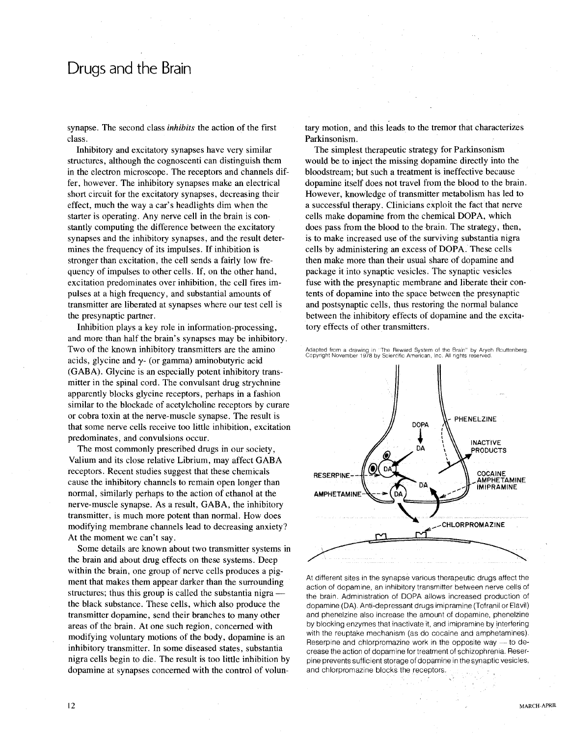## **Drugs and the Brain**

synapse. The second class *inhibits* the action of the first class.

Inhibitory and excitatory synapses have very similar structures, although the cognoscenti can distinguish them in the electron microscope. The receptors and channels differ, however. The inhibitory synapses make an electrical short circuit for the excitatory synapses, decreasing their effect, much the way a car's headlights dim when the starter is operating. Any nerve cell in the brain is constantly computing the difference between the excitatory synapses and the inhibitory synapses, and the result determines the frequency of its impulses. If inhibition is stronger than excitation, the cell sends a fairly low frequency of impulses to other cells. If, on the other hand, excitation predominates over inhibition, the cell fires impulses at a high frequency, and substantial amounts of transmitter are liberated at synapses where our test cell is the presynaptic partner.

Inhibition plays a key role in information-processing, and more than half the brain's synapses may be inhibitory. Two of the known inhibitory transmitters are the amino acids, glycine and  $\gamma$ - (or gamma) aminobutyric acid (GABA). Glycine is an especially potent inhibitory transmitter in the spinal cord. The convulsant drug strychnine apparently blocks glycine receptors, perhaps in a fashion similar to the blockade of acetylcholine receptors by curare or cobra toxin at the nerve-muscle synapse. The result is that some nerve cells receive too little inhibition, excitation predominates, and convulsions occur.

The most commonly prescribed drugs in our society, Valium and its close relative Librium, may affect GABA receptors. Recent studies suggest that these chemicals cause the inhibitory channels to remain open longer than normal, similarly perhaps to the action of ethanol at the nerve-muscle synapse. As a result, GABA, the inhibitory transmitter, is much more potent than normal. How does modifying membrane channels lead to decreasing anxiety? At the moment we can't say.

Some details are known about two transmitter systems in the brain arid about drug effects on these systems. Deep within the brain, one group of nerve cells produces a pigment that makes them appear darker than the surrounding structures; thus this group is called the substantia nigra the black substance. These cells, which also produce the transmitter dopamine, send their branches to many other areas of the brain. At one such region, concerned with modifying voluntary motions of the body, dopamine is an inhibitory transmitter. In some diseased states, substantia nigra cells begin to die. The result is too little inhibition by dopamine at synapses concerned with the control of voluntary motion, and this leads to the tremor that characterizes Parkinsonism.

The simplest therapeutic strategy for Parkinsonism would be to inject the missing dopamine directly into the bloodstream; but such a treatment is ineffective because dopamine itself does not travel from the blood to the brain. However, knowledge of transmitter metabolism has led to a successful therapy. Clinicians exploit the fact that nerve cells make dopamine from the chemical DOPA, which does pass from the blood to the brain. The strategy, then, is to make increased use of the surviving substantia nigra cells by administering an excess of DOPA. These cells then make more than their usual share of dopamine and package it into synaptic vesicles. The synaptic vesicles fuse with the presynaptic membrane and liberate their contents of dopamine into the space between the presynaptic and postsynaptic cells, thus restoring the normal balance between the inhibitory effects of dopamine and the excitatory effects of other transmitters.



At different sites in the synapse various therapeutic drugs affect the action of dopamine, an inhibitory transmitter between nerve cells of the brain. Administration of DOPA allows increased production of dopamine (OA). Anti-depressant drugs imipramine (Tofranil or Elavil) and phenelzine also increase the amount of dopamine, phenelzine by blocking enzymes that inactivate it, and imipramine by interfering with the reuptake mechanism (as do cocaine and amphetamines). Reserpine and chlorpromazine work in the opposite way  $-$  to decrease the action of dopamine for treatment of schizophrenia. Reserpine prevents sufficient storage of dopamine in the synaptic vesicles, and chlorpromazine blocks the receptors.

Adapted from a drawing in "The Reward System of the Brain" by Aryeh Routtenberg<br>Copyright November 1978 by Scientific American, Inc. All rights reserved.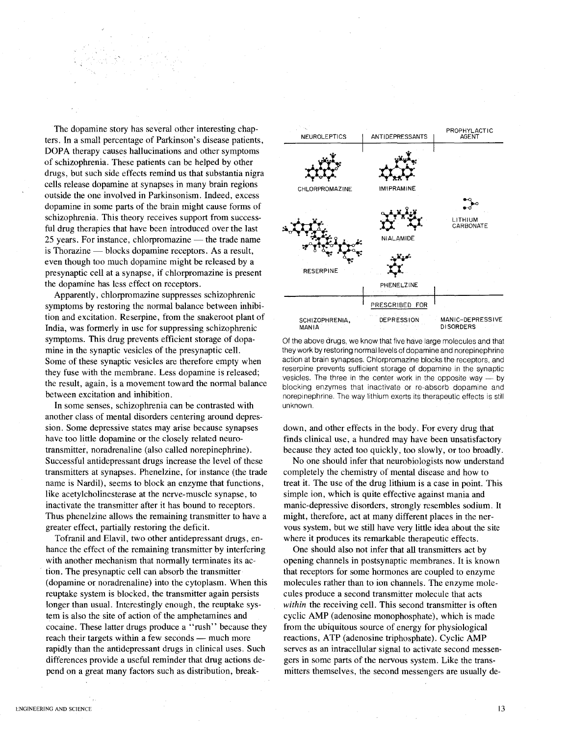The dopamine story has several other interesting chapters. In a small percentage of Parkinson's disease patients, DOPA therapy causes hallucinations and other symptoms of schizophrenia. These patients can be helped by other drugs, but such side effects remind us that substantia nigra cells release dopamine at synapses in many brain regions outside the one involved in Parkinsonism. Indeed, excess dopamine in some parts of the brain might cause forms of schizophrenia. This theory receives support from successful drug therapies that have been introduced over the last  $25$  years. For instance, chlorpromazine  $-$  the trade name is Thorazine  $-$  blocks dopamine receptors. As a result, even though too much dopamine might be released by a presynaptic cell at a synapse, if chlorpromazine is present the dopamine has less effect on receptors.

Apparently, chlorpromazine suppresses schizophrenic symptoms by restoring the normal balance between inhibition and excitation. Reserpine, from the snakeroot plant of India, was formerly in use for suppressing schizophrenic symptoms. This drug prevents efficient storage of dopamine in the synaptic vesicles of the presynaptic cell. Some of these synaptic vesicles are therefore empty when they fuse with the membrane. Less dopamine is released; the result, again, is a movement toward the normal balance between excitation and inhibition.

In some senses, schizophrenia can be contrasted with another class of mental disorders centering around depression. Some depressive states may arise because synapses have too little dopamine or the closely related neurotransmitter, noradrenaline (also called norepinephrine). Successful antidepressant drugs increase the level of these transmitters at synapses. Phenelzine, for instance (the trade name is Nardil), seems to block an enzyme that functions, like acetylcholinesterase at the nerve-muscle synapse, to inactivate the transmitter after it has bound to receptors. Thus phenelzine allows the remaining transmitter to have a greater effect, partially restoring the deficit.

Tofranil and Elavil, two other antidepressant drugs, enhance the effect of the remaining transmitter by interfering with another mechanism that normally terminates its action. The presynaptic cell can absorb the transmitter (dopamine or noradrenaline) into the cytoplasm. When this reuptake system is blocked, the transmitter again persists longer than usual. Interestingly enough, the reuptake system is also the site of action of the amphetamines and cocaine. These latter drugs produce a "rush" because they reach their targets within a few seconds — much more rapidly than the antidepressant drugs in clinical uses. Such differences provide a useful reminder that drug actions depend on a great many factors such as distribution, break-



Of the above drugs, we know that five have large molecules and that they work by restoring normal levels of dopamine and norepinephrine action at brain synapses. Chlorpromazine blocks the receptors, and reserpine prevents sufficient storage of dopamine in the synaptic vesicles. The three in the center work in the opposite way  $-$  by blocking enzymes that inactivate or re-absorb dopamine and norepinephrine. The way lithium exerts its therapeutic effects is still unknown.

down, and other effects in the body. For every drug that finds clinical use, a hundred may have been unsatisfactory because they acted too quickly, too slowly, or too broadly.

No one should infer that neurobiologists now understand completely the chemistry of mental disease and how to treat it. The use of the drug lithium is a case in point. This simple ion, which is quite effective against mania and manic-depressive disorders, strongly resembles sodium. It might, therefore, act at many different places in the nervous system, but we still have very little idea about the site where it produces its remarkable therapeutic effects.

One should also not infer that all transmitters act by opening channels in postsynaptic membranes. It is known that receptors for some hormones are coupled to enzyme molecules rather than to ion channels. The enzyme molecules produce a second transmitter molecule that acts *within* the receiving cell. This second transmitter is often cyclic AMP (adenosine monophosphate), which is made from the ubiquitous source of energy for physiological reactions, ATP (adenosine triphosphate). Cyclic AMP serves as an intracellular signal to activate second messengers in some parts of the nervous system. Like the transmitters themselves, the second messengers are usually de-